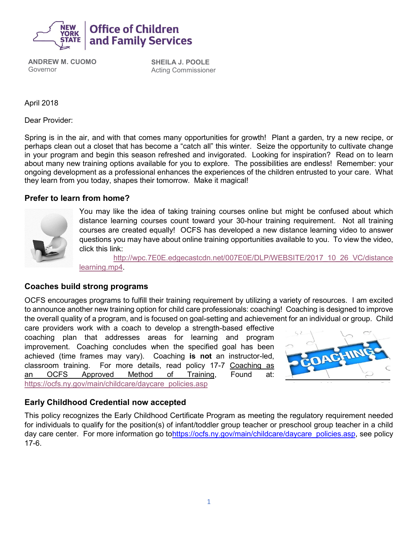

**ANDREW M. CUOMO** Governor

**SHEILA J. POOLE** Acting Commissioner

April 2018

Dear Provider:

Spring is in the air, and with that comes many opportunities for growth! Plant a garden, try a new recipe, or perhaps clean out a closet that has become a "catch all" this winter. Seize the opportunity to cultivate change in your program and begin this season refreshed and invigorated. Looking for inspiration? Read on to learn about many new training options available for you to explore. The possibilities are endless! Remember: your ongoing development as a professional enhances the experiences of the children entrusted to your care. What they learn from you today, shapes their tomorrow. Make it magical!

#### **Prefer to learn from home?**



You may like the idea of taking training courses online but might be confused about which distance learning courses count toward your 30-hour training requirement. Not all training courses are created equally! OCFS has developed a new distance learning video to answer questions you may have about online training opportunities available to you. To view the video, click this link:

[http://wpc.7E0E.edgecastcdn.net/007E0E/DLP/WEBSITE/2017\\_10\\_26\\_VC/distance](http://wpc.7e0e.edgecastcdn.net/007E0E/DLP/WEBSITE/2017_10_26_VC/distance%20learning.mp4)  [learning.mp4.](http://wpc.7e0e.edgecastcdn.net/007E0E/DLP/WEBSITE/2017_10_26_VC/distance%20learning.mp4)

#### **Coaches build strong programs**

OCFS encourages programs to fulfill their training requirement by utilizing a variety of resources. I am excited t[o announ](https://creativecommons.org/licenses/by-nc/3.0/)ce another new training option for child care professionals: coaching! Coaching is designed to improve the overall quality of a program, and is focused on goal-setting and achievement for an individual or group. Child

care providers work with a coach to develop a strength-based effective coaching plan that addresses areas for learning and program improvement. Coaching concludes when the specified goal has been achieved (time frames may vary). Coaching **is not** an instructor-led, classroom training. For more details, read policy 17-7 Coaching as an OCFS Approved Method of Training, Found at: [https://ocfs.ny.gov/main/childcare/daycare\\_policies.asp](https://ocfs.ny.gov/main/childcare/daycare_policies.asp)



### **Early Childhood Credential now accepted**

This policy recognizes the Early Childhood Certificate Program as meeting the regulatory requirement needed for individuals to qualify for the position(s) of infant/toddler group teacher or preschool group teacher in a child day care center. For more information go t[ohttps://ocfs.ny.gov/main/childcare/daycare\\_policies.asp,](https://ocfs.ny.gov/main/childcare/daycare_policies.asp) see policy 17-6.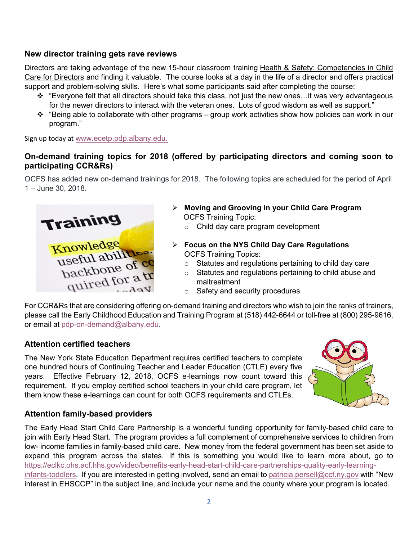### **New director training gets rave reviews**

Directors are taking advantage of the new 15-hour classroom training Health & Safety: Competencies in Child Care for Directors and finding it valuable. The course looks at a day in the life of a director and offers practical support and problem-solving skills. Here's what some participants said after completing the course:

- ❖ "Everyone felt that all directors should take this class, not just the new ones…it was very advantageous for the newer directors to interact with the veteran ones. Lots of good wisdom as well as support."
- ❖ "Being able to collaborate with other programs group work activities show how policies can work in our program."

Sign up today at [www.ecetp.pdp.albany.edu.](http://www.ecetp.pdp.albany.edu/)

## **On-demand training topics for 2018 (offered by participating directors and coming soon to participating CCR&Rs)**

OCFS has added new on-demand trainings for 2018. The following topics are scheduled for the period of April 1 – June 30, 2018.



- ➢ **Moving and Grooving in your Child Care Program**  OCFS Training Topic:
	- o Child day care program development
- ➢ **Focus on the NYS Child Day Care Regulations** OCFS Training Topics:
	- o Statutes and regulations pertaining to child day care
	- o Statutes and regulations pertaining to child abuse and maltreatment
	- o Safety and security procedures

For CCR&Rs that are considering offering on-demand training and directors who wish to join the ranks of trainers, please call the Early Childhood Education and Training Program at (518) 442-6644 or toll-free at (800) 295-9616, or email at [pdp-on-demand@albany.edu](mailto:pdp-on-demand@albany.edu).

### **Attention certified teachers**

The New York State Education Department requires certified teachers to complete one hundred hours of Continuing Teacher and Leader Education (CTLE) every five years. Effective February 12, 2018, OCFS e-learnings now count toward this requirement. If you employ certified school teachers in your child care program, let them know these e-learnings can count for both OCFS requirements and CTLEs.



# **Attention family-based providers**

The Early Head Start Child Care Partnership is a wonderful funding opportunity for family-based child care to join with Early Head Start. The program provides a full complement of comprehensive services to children from low- income families in family-based child care. New money from the federal government has been set aside to expand this program across the states. If this is something you would like to learn more about, go to [https://eclkc.ohs.acf.hhs.gov/video/benefits-early-head-start-child-care-partnerships-quality-early-learning](https://eclkc.ohs.acf.hhs.gov/video/benefits-early-head-start-child-care-partnerships-quality-early-learning-infants-toddlers)[infants-toddlers.](https://eclkc.ohs.acf.hhs.gov/video/benefits-early-head-start-child-care-partnerships-quality-early-learning-infants-toddlers) If you are interested in getting involved, send an email to [patricia.persell@ccf.ny.gov](mailto:patricia.persell@ccf.ny.gov) with "New interest in EHSCCP" in the subject line, and include your name and the county where your program is located.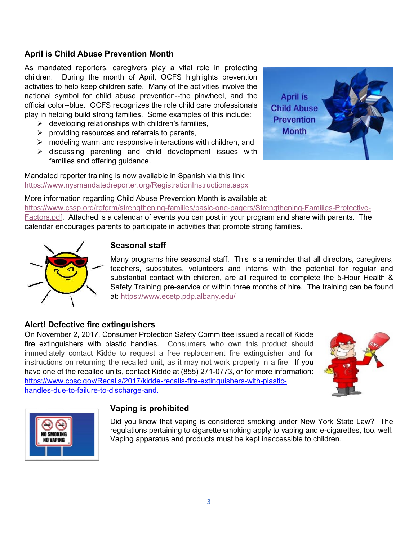## **April is Child Abuse Prevention Month**

As mandated reporters, caregivers play a vital role in protecting children. During the month of April, OCFS highlights prevention activities to help keep children safe. Many of the activities involve the national symbol for child abuse prevention--the pinwheel, and the official color--blue. OCFS recognizes the role child care professionals play in helping build strong families. Some examples of this include:

- $\triangleright$  developing relationships with children's families,
- $\triangleright$  providing resources and referrals to parents,
- $\triangleright$  modeling warm and responsive interactions with children, and
- ➢ discussing parenting and child development issues with families and offering guidance.

Mandated reporter training is now available in Spanish via this link: <https://www.nysmandatedreporter.org/RegistrationInstructions.aspx>

More information regarding Child Abuse Prevention Month is available at: [https://www.cssp.org/reform/strengthening-families/basic-one-pagers/Strengthening-Families-Protective-](https://www.cssp.org/reform/strengthening-families/basic-one-pagers/Strengthening-Families-Protective-Factors.pdf)[Factors.pdf.](https://www.cssp.org/reform/strengthening-families/basic-one-pagers/Strengthening-Families-Protective-Factors.pdf) Attached is a calendar of events you can post in your program and share with parents. The calendar encourages parents to participate in activities that promote strong families.



# **Seasonal staff**

Many programs hire seasonal staff. This is a reminder that all directors, caregivers, teachers, substitutes, volunteers and interns with the potential for regular and substantial contact with children, are all required to complete the 5-Hour Health & Safety Training pre-service or within three months of hire. The training can be found at: <https://www.ecetp.pdp.albany.edu/>

### **Alert! Defective fire extinguishers**

On November 2, 2017, Consumer Protection Safety Committee issued a recall of Kidde fire extinguishers with plastic handles. Consumers who own this product should immediately contact Kidde to request a free replacement fire extinguisher and for instructions on returning the recalled unit, as it may not work properly in a fire. If you have one of the recalled units, contact Kidde at (855) 271-0773, or for more information: [https://www.cpsc.gov/Recalls/2017/kidde-recalls-fire-extinguishers-with-plastic](https://www.cpsc.gov/es/recalls/2018/kidde-recalls-fire-extinguishers-with-plastic%20handles-due-to-failure-to-discharge-and-nozzle-detachment-one-death-reported)[handles-due-to-failure-to-discharge-and.](https://www.cpsc.gov/es/recalls/2018/kidde-recalls-fire-extinguishers-with-plastic%20handles-due-to-failure-to-discharge-and-nozzle-detachment-one-death-reported)





#### **Vaping is prohibited**

Did you know that vaping is considered smoking under New York State Law? The regulations pertaining to cigarette smoking apply to vaping and e-cigarettes, too. well. Vaping apparatus and products must be kept inaccessible to children.